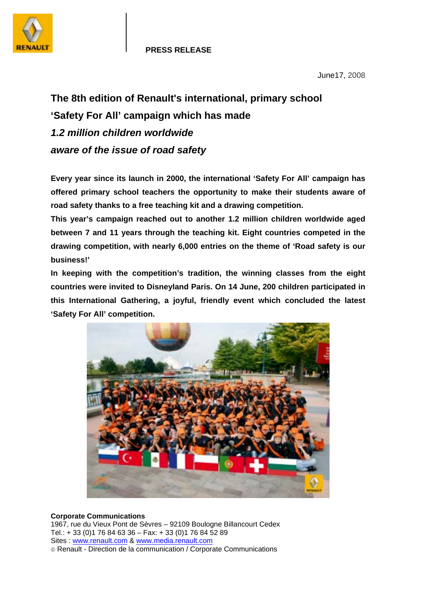

June17, 2008

## **The 8th edition of Renault's international, primary school 'Safety For All' campaign which has made**  *1.2 million children worldwide aware of the issue of road safety*

**Every year since its launch in 2000, the international 'Safety For All' campaign has offered primary school teachers the opportunity to make their students aware of road safety thanks to a free teaching kit and a drawing competition.** 

**This year's campaign reached out to another 1.2 million children worldwide aged between 7 and 11 years through the teaching kit. Eight countries competed in the drawing competition, with nearly 6,000 entries on the theme of 'Road safety is our business!'** 

**In keeping with the competition's tradition, the winning classes from the eight countries were invited to Disneyland Paris. On 14 June, 200 children participated in this International Gathering, a joyful, friendly event which concluded the latest 'Safety For All' competition.** 



## **Corporate Communications**

1967, rue du Vieux Pont de Sèvres – 92109 Boulogne Billancourt Cedex Tel.: + 33 (0)1 76 84 63 36 – Fax: + 33 (0)1 76 84 52 89 Sites : www.renault.com & www.media.renault.com Renault - Direction de la communication / Corporate Communications